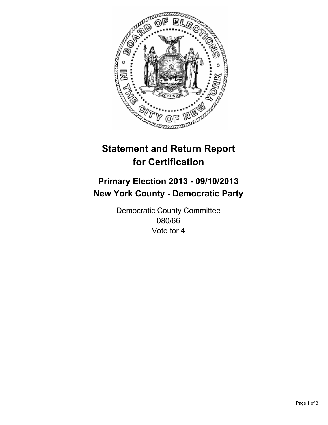

# **Statement and Return Report for Certification**

## **Primary Election 2013 - 09/10/2013 New York County - Democratic Party**

Democratic County Committee 080/66 Vote for 4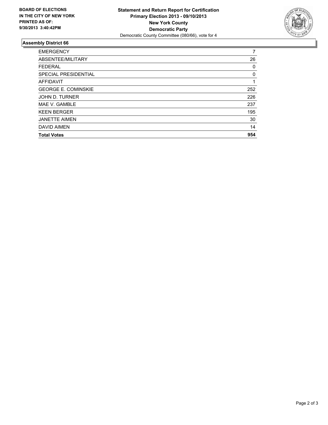

### **Assembly District 66**

| <b>EMERGENCY</b>           | 7   |
|----------------------------|-----|
| ABSENTEE/MILITARY          | 26  |
| <b>FEDERAL</b>             | 0   |
| SPECIAL PRESIDENTIAL       | 0   |
| <b>AFFIDAVIT</b>           | 1   |
| <b>GEORGE E. COMINSKIE</b> | 252 |
| JOHN D. TURNER             | 226 |
| MAE V. GAMBLE              | 237 |
| <b>KEEN BERGER</b>         | 195 |
| <b>JANETTE AIMEN</b>       | 30  |
| <b>DAVID AIMEN</b>         | 14  |
| <b>Total Votes</b>         | 954 |